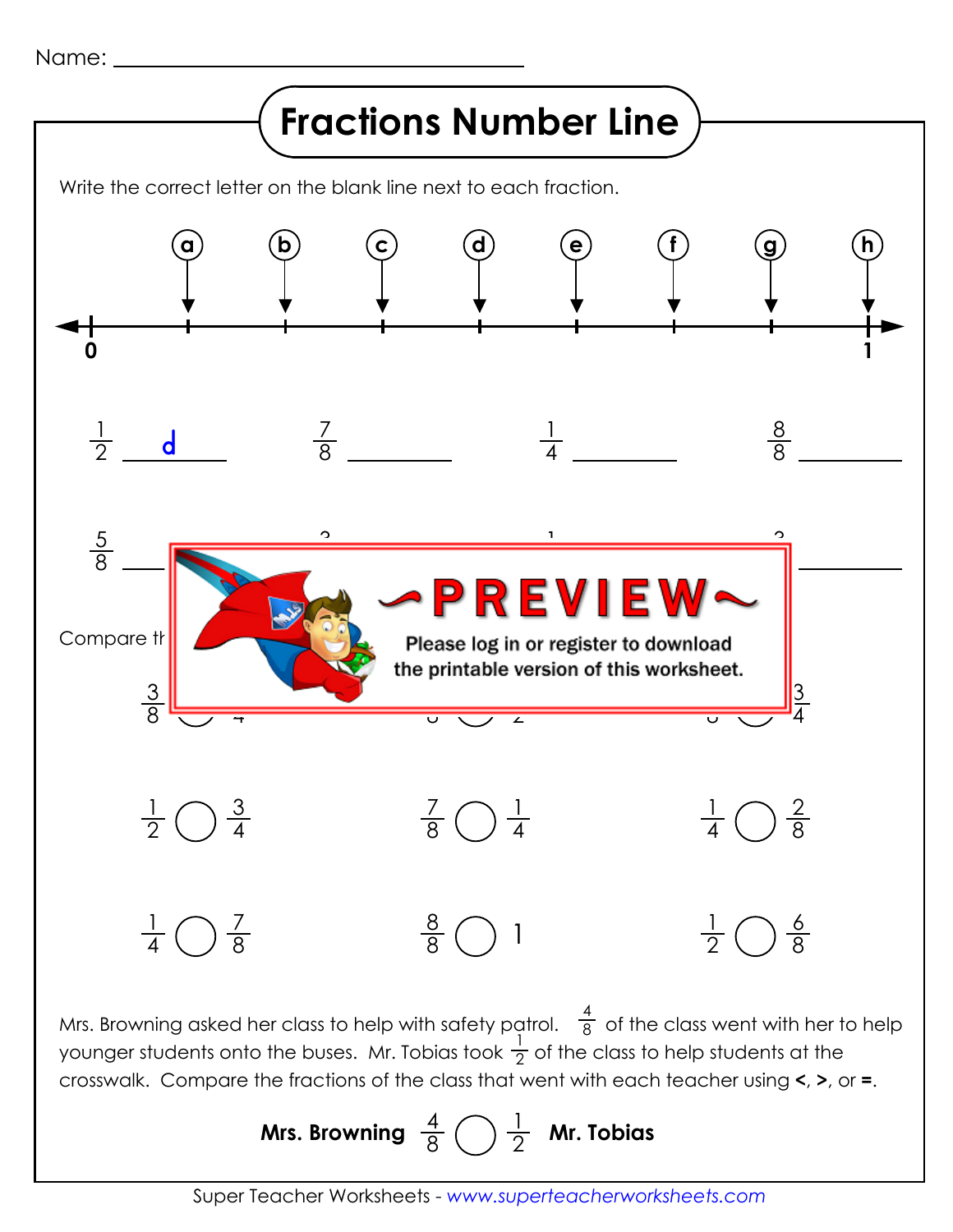Name:



Mrs. Browning asked her class to help with safety patrol.  $\ \overline{g}\,$  of the class went with her to help younger students onto the buses. Mr. Tobias took  $\frac{1}{2}$  of the class to help students at the crosswalk. Compare the fractions of the class that went with each teacher using **<**, **>**, or **=**. airoi. 8<br>1 - Citre

> Mrs. Browning  $\frac{4}{8}$  $\frac{1}{2}$  **Mr. Tobias**